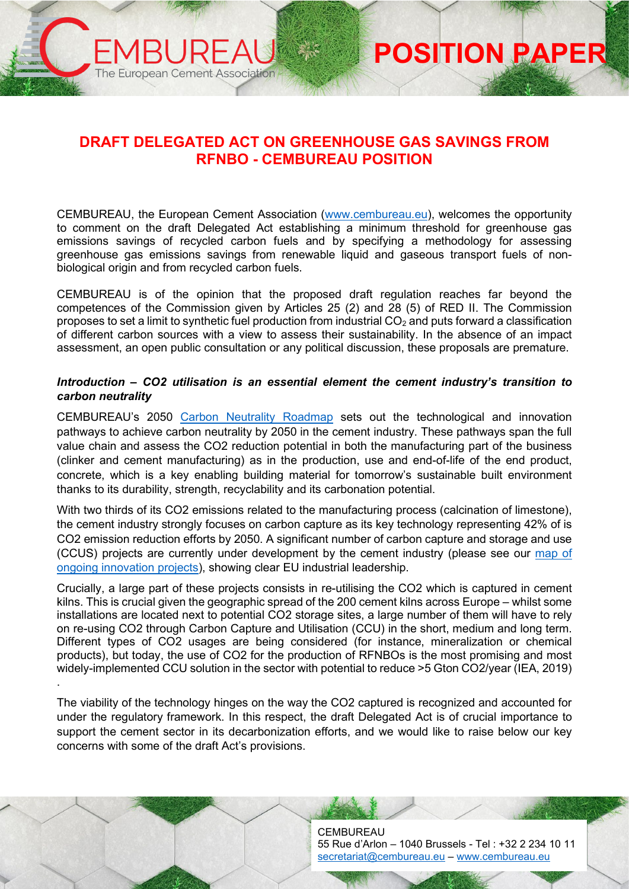# **DRAFT DELEGATED ACT ON GREENHOUSE GAS SAVINGS FROM RFNBO - CEMBUREAU POSITION**

The European Cement Association

**POSITION PAPER**

CEMBUREAU, the European Cement Association [\(www.cembureau.eu\)](http://www.cembureau.eu/), welcomes the opportunity to comment on the draft Delegated Act establishing a minimum threshold for greenhouse gas emissions savings of recycled carbon fuels and by specifying a methodology for assessing greenhouse gas emissions savings from renewable liquid and gaseous transport fuels of nonbiological origin and from recycled carbon fuels.

CEMBUREAU is of the opinion that the proposed draft regulation reaches far beyond the competences of the Commission given by Articles 25 (2) and 28 (5) of RED II. The Commission proposes to set a limit to synthetic fuel production from industrial  $CO<sub>2</sub>$  and puts forward a classification of different carbon sources with a view to assess their sustainability. In the absence of an impact assessment, an open public consultation or any political discussion, these proposals are premature.

### *Introduction – CO2 utilisation is an essential element the cement industry's transition to carbon neutrality*

CEMBUREAU's 2050 [Carbon Neutrality Roadmap](https://cembureau.eu/library/reports/2050-carbon-neutrality-roadmap/) sets out the technological and innovation pathways to achieve carbon neutrality by 2050 in the cement industry. These pathways span the full value chain and assess the CO2 reduction potential in both the manufacturing part of the business (clinker and cement manufacturing) as in the production, use and end-of-life of the end product, concrete, which is a key enabling building material for tomorrow's sustainable built environment thanks to its durability, strength, recyclability and its carbonation potential.

With two thirds of its CO2 emissions related to the manufacturing process (calcination of limestone), the cement industry strongly focuses on carbon capture as its key technology representing 42% of is CO2 emission reduction efforts by 2050. A significant number of carbon capture and storage and use (CCUS) projects are currently under development by the cement industry (please see our [map of](https://cembureau.eu/about-our-industry/innovation/map-of-innovation-projects/)  [ongoing innovation projects\)](https://cembureau.eu/about-our-industry/innovation/map-of-innovation-projects/), showing clear EU industrial leadership.

Crucially, a large part of these projects consists in re-utilising the CO2 which is captured in cement kilns. This is crucial given the geographic spread of the 200 cement kilns across Europe – whilst some installations are located next to potential CO2 storage sites, a large number of them will have to rely on re-using CO2 through Carbon Capture and Utilisation (CCU) in the short, medium and long term. Different types of CO2 usages are being considered (for instance, mineralization or chemical products), but today, the use of CO2 for the production of RFNBOs is the most promising and most widely-implemented CCU solution in the sector with potential to reduce >5 Gton CO2/year (IEA, 2019) .

The viability of the technology hinges on the way the CO2 captured is recognized and accounted for under the regulatory framework. In this respect, the draft Delegated Act is of crucial importance to support the cement sector in its decarbonization efforts, and we would like to raise below our key concerns with some of the draft Act's provisions.

> **CEMBUREAU** 55 Rue d'Arlon – 1040 Brussels - Tel : +32 2 234 10 11 [secretariat@cembureau.eu](mailto:secretariat@cembureau.eu) – [www.cembureau.eu](http://www.cembureau.eu/)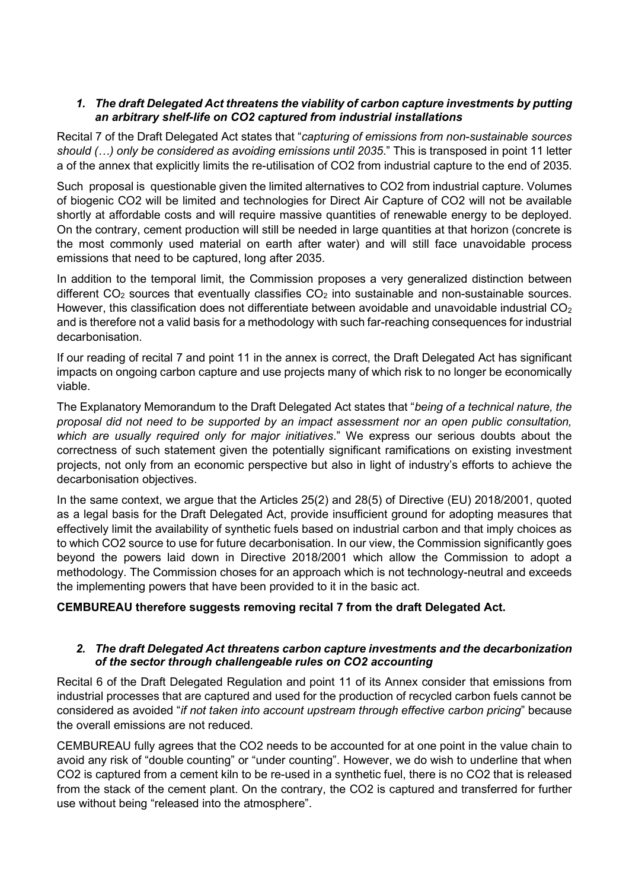## *1. The draft Delegated Act threatens the viability of carbon capture investments by putting an arbitrary shelf-life on CO2 captured from industrial installations*

Recital 7 of the Draft Delegated Act states that "*capturing of emissions from non-sustainable sources should (…) only be considered as avoiding emissions until 2035*." This is transposed in point 11 letter a of the annex that explicitly limits the re-utilisation of CO2 from industrial capture to the end of 2035.

Such proposal is questionable given the limited alternatives to CO2 from industrial capture. Volumes of biogenic CO2 will be limited and technologies for Direct Air Capture of CO2 will not be available shortly at affordable costs and will require massive quantities of renewable energy to be deployed. On the contrary, cement production will still be needed in large quantities at that horizon (concrete is the most commonly used material on earth after water) and will still face unavoidable process emissions that need to be captured, long after 2035.

In addition to the temporal limit, the Commission proposes a very generalized distinction between different  $CO<sub>2</sub>$  sources that eventually classifies  $CO<sub>2</sub>$  into sustainable and non-sustainable sources. However, this classification does not differentiate between avoidable and unavoidable industrial  $CO<sub>2</sub>$ and is therefore not a valid basis for a methodology with such far-reaching consequences for industrial decarbonisation.

If our reading of recital 7 and point 11 in the annex is correct, the Draft Delegated Act has significant impacts on ongoing carbon capture and use projects many of which risk to no longer be economically viable.

The Explanatory Memorandum to the Draft Delegated Act states that "*being of a technical nature, the proposal did not need to be supported by an impact assessment nor an open public consultation, which are usually required only for major initiatives*." We express our serious doubts about the correctness of such statement given the potentially significant ramifications on existing investment projects, not only from an economic perspective but also in light of industry's efforts to achieve the decarbonisation objectives.

In the same context, we argue that the Articles 25(2) and 28(5) of Directive (EU) 2018/2001, quoted as a legal basis for the Draft Delegated Act, provide insufficient ground for adopting measures that effectively limit the availability of synthetic fuels based on industrial carbon and that imply choices as to which CO2 source to use for future decarbonisation. In our view, the Commission significantly goes beyond the powers laid down in Directive 2018/2001 which allow the Commission to adopt a methodology. The Commission choses for an approach which is not technology-neutral and exceeds the implementing powers that have been provided to it in the basic act.

# **CEMBUREAU therefore suggests removing recital 7 from the draft Delegated Act.**

### *2. The draft Delegated Act threatens carbon capture investments and the decarbonization of the sector through challengeable rules on CO2 accounting*

Recital 6 of the Draft Delegated Regulation and point 11 of its Annex consider that emissions from industrial processes that are captured and used for the production of recycled carbon fuels cannot be considered as avoided "*if not taken into account upstream through effective carbon pricing*" because the overall emissions are not reduced.

CEMBUREAU fully agrees that the CO2 needs to be accounted for at one point in the value chain to avoid any risk of "double counting" or "under counting". However, we do wish to underline that when CO2 is captured from a cement kiln to be re-used in a synthetic fuel, there is no CO2 that is released from the stack of the cement plant. On the contrary, the CO2 is captured and transferred for further use without being "released into the atmosphere".